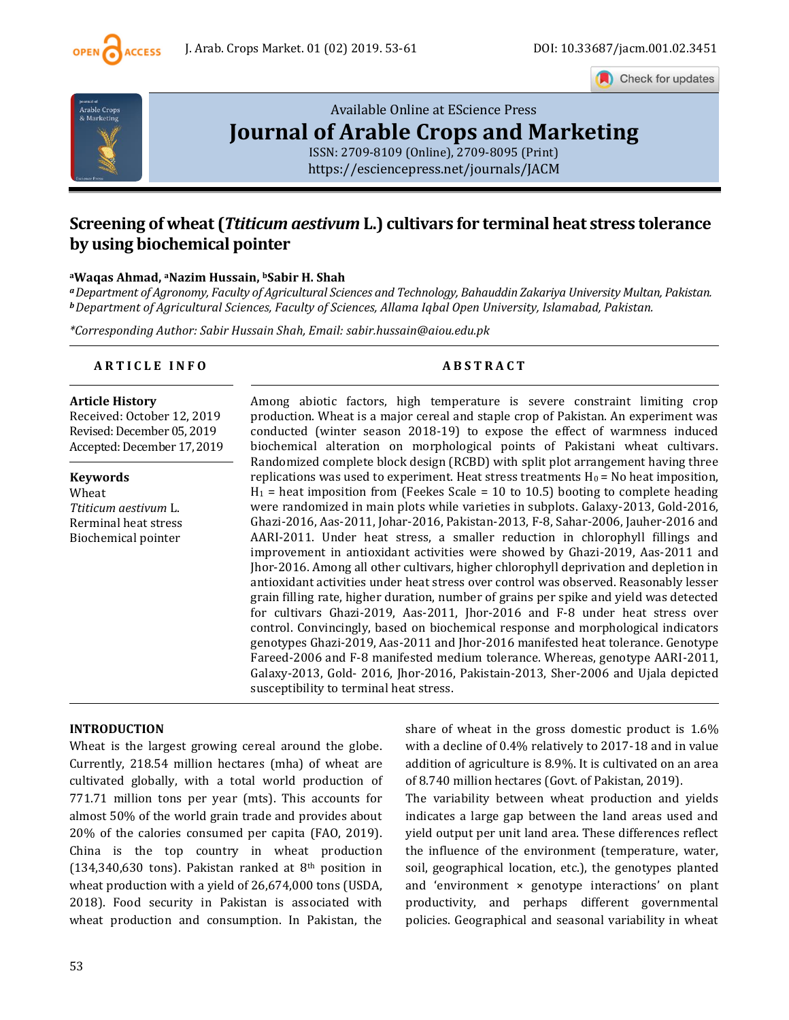

Check for updates



# [Available Online at EScience Press](https://esciencepress.net/journals/JACM) **[Journal of Arable Crops and Marketing](https://esciencepress.net/journals/JACM)**

[ISSN: 2709-8109 \(Online\), 2709-8095 \(Print\)](https://esciencepress.net/journals/JACM) <https://esciencepress.net/journals/JACM>

# **Screening of wheat (***Ttiticum aestivum* **L.) cultivars for terminal heat stress tolerance by using biochemical pointer**

## **<sup>a</sup>Waqas Ahmad, aNazim Hussain, bSabir H. Shah**

*<sup>a</sup>Department of Agronomy, Faculty of Agricultural Sciences and Technology, Bahauddin Zakariya University Multan, Pakistan. <sup>b</sup>Department of Agricultural Sciences, Faculty of Sciences, Allama Iqbal Open University, Islamabad, Pakistan.*

*\*Corresponding Author: Sabir Hussain Shah, Email: sabir.hussain@aiou.edu.pk*

# **A R T I C L E I N F O A B S T R A C T**

#### **Article History**

Received: October 12, 2019 Revised: December 05, 2019 Accepted: December 17, 2019

**Keywords** Wheat *Ttiticum aestivum* L. Rerminal heat stress Biochemical pointer

Among abiotic factors, high temperature is severe constraint limiting crop production. Wheat is a major cereal and staple crop of Pakistan. An experiment was conducted (winter season 2018-19) to expose the effect of warmness induced biochemical alteration on morphological points of Pakistani wheat cultivars. Randomized complete block design (RCBD) with split plot arrangement having three replications was used to experiment. Heat stress treatments  $H_0 = No$  heat imposition,  $H_1$  = heat imposition from (Feekes Scale = 10 to 10.5) booting to complete heading were randomized in main plots while varieties in subplots. Galaxy-2013, Gold-2016, Ghazi-2016, Aas-2011, Johar-2016, Pakistan-2013, F-8, Sahar-2006, Jauher-2016 and AARI-2011. Under heat stress, a smaller reduction in chlorophyll fillings and improvement in antioxidant activities were showed by Ghazi-2019, Aas-2011 and Jhor-2016. Among all other cultivars, higher chlorophyll deprivation and depletion in antioxidant activities under heat stress over control was observed. Reasonably lesser grain filling rate, higher duration, number of grains per spike and yield was detected for cultivars Ghazi-2019, Aas-2011, Jhor-2016 and F-8 under heat stress over control. Convincingly, based on biochemical response and morphological indicators genotypes Ghazi-2019, Aas-2011 and Jhor-2016 manifested heat tolerance. Genotype Fareed-2006 and F-8 manifested medium tolerance. Whereas, genotype AARI-2011, Galaxy-2013, Gold- 2016, Jhor-2016, Pakistain-2013, Sher-2006 and Ujala depicted susceptibility to terminal heat stress.

# **INTRODUCTION**

Wheat is the largest growing cereal around the globe. Currently, 218.54 million hectares (mha) of wheat are cultivated globally, with a total world production of 771.71 million tons per year (mts). This accounts for almost 50% of the world grain trade and provides about 20% of the calories consumed per capita (FAO, 2019). China is the top country in wheat production (134,340,630 tons). Pakistan ranked at  $8<sup>th</sup>$  position in wheat production with a yield of 26,674,000 tons (USDA, 2018). Food security in Pakistan is associated with wheat production and consumption. In Pakistan, the

share of wheat in the gross domestic product is 1.6% with a decline of 0.4% relatively to 2017-18 and in value addition of agriculture is 8.9%. It is cultivated on an area of 8.740 million hectares (Govt. of Pakistan, 2019).

The variability between wheat production and yields indicates a large gap between the land areas used and yield output per unit land area. These differences reflect the influence of the environment (temperature, water, soil, geographical location, etc.), the genotypes planted and 'environment × genotype interactions' on plant productivity, and perhaps different governmental policies. Geographical and seasonal variability in wheat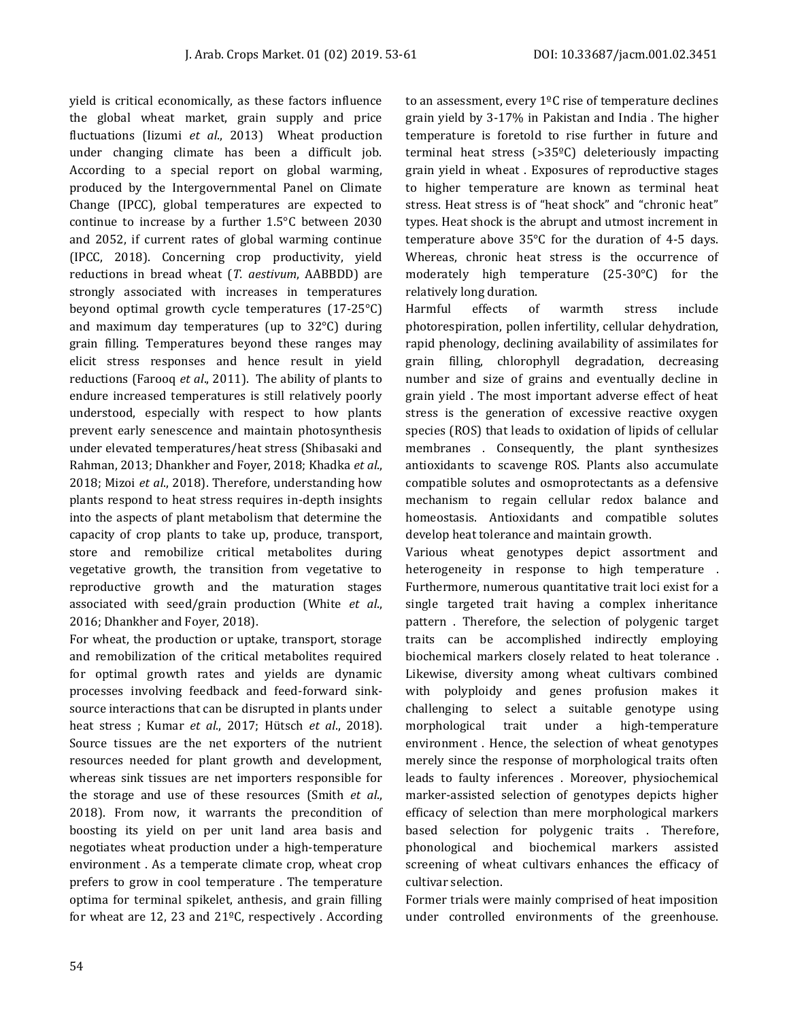yield is critical economically, as these factors influence the global wheat market, grain supply and price fluctuations (Iizumi *et al*., 2013) Wheat production under changing climate has been a difficult job. According to a special report on global warming, produced by the Intergovernmental Panel on Climate Change (IPCC), global temperatures are expected to continue to increase by a further 1.5°C between 2030 and 2052, if current rates of global warming continue (IPCC, 2018). Concerning crop productivity, yield reductions in bread wheat (*T. aestivum*, AABBDD) are strongly associated with increases in temperatures beyond optimal growth cycle temperatures (17-25°C) and maximum day temperatures (up to 32°C) during grain filling. Temperatures beyond these ranges may elicit stress responses and hence result in yield reductions (Farooq *et al*., 2011). The ability of plants to endure increased temperatures is still relatively poorly understood, especially with respect to how plants prevent early senescence and maintain photosynthesis under elevated temperatures/heat stress (Shibasaki and Rahman, 2013; Dhankher and Foyer, 2018; Khadka *et al*., 2018; Mizoi *et al*., 2018). Therefore, understanding how plants respond to heat stress requires in-depth insights into the aspects of plant metabolism that determine the capacity of crop plants to take up, produce, transport, store and remobilize critical metabolites during vegetative growth, the transition from vegetative to reproductive growth and the maturation stages associated with seed/grain production (White *et al*., 2016; Dhankher and Foyer, 2018).

For wheat, the production or uptake, transport, storage and remobilization of the critical metabolites required for optimal growth rates and yields are dynamic processes involving feedback and feed-forward sinksource interactions that can be disrupted in plants under heat stress ; Kumar *et al*., 2017; Hütsch *et al*., 2018). Source tissues are the net exporters of the nutrient resources needed for plant growth and development, whereas sink tissues are net importers responsible for the storage and use of these resources (Smith *et al*., 2018). From now, it warrants the precondition of boosting its yield on per unit land area basis and negotiates wheat production under a high-temperature environment . As a temperate climate crop, wheat crop prefers to grow in cool temperature . The temperature optima for terminal spikelet, anthesis, and grain filling for wheat are 12, 23 and 21ºC, respectively . According to an assessment, every  $1^{\circ}$ C rise of temperature declines grain yield by 3-17% in Pakistan and India . The higher temperature is foretold to rise further in future and terminal heat stress  $(>35^{\circ}C)$  deleteriously impacting grain yield in wheat . Exposures of reproductive stages to higher temperature are known as terminal heat stress. Heat stress is of "heat shock" and "chronic heat" types. Heat shock is the abrupt and utmost increment in temperature above 35°C for the duration of 4-5 days. Whereas, chronic heat stress is the occurrence of moderately high temperature (25-30°C) for the relatively long duration.

Harmful effects of warmth stress include photorespiration, pollen infertility, cellular dehydration, rapid phenology, declining availability of assimilates for grain filling, chlorophyll degradation, decreasing number and size of grains and eventually decline in grain yield . The most important adverse effect of heat stress is the generation of excessive reactive oxygen species (ROS) that leads to oxidation of lipids of cellular membranes . Consequently, the plant synthesizes antioxidants to scavenge ROS. Plants also accumulate compatible solutes and osmoprotectants as a defensive mechanism to regain cellular redox balance and homeostasis. Antioxidants and compatible solutes develop heat tolerance and maintain growth.

Various wheat genotypes depict assortment and heterogeneity in response to high temperature . Furthermore, numerous quantitative trait loci exist for a single targeted trait having a complex inheritance pattern . Therefore, the selection of polygenic target traits can be accomplished indirectly employing biochemical markers closely related to heat tolerance . Likewise, diversity among wheat cultivars combined with polyploidy and genes profusion makes it challenging to select a suitable genotype using morphological trait under a high-temperature environment . Hence, the selection of wheat genotypes merely since the response of morphological traits often leads to faulty inferences . Moreover, physiochemical marker-assisted selection of genotypes depicts higher efficacy of selection than mere morphological markers based selection for polygenic traits . Therefore, phonological and biochemical markers assisted screening of wheat cultivars enhances the efficacy of cultivar selection.

Former trials were mainly comprised of heat imposition under controlled environments of the greenhouse.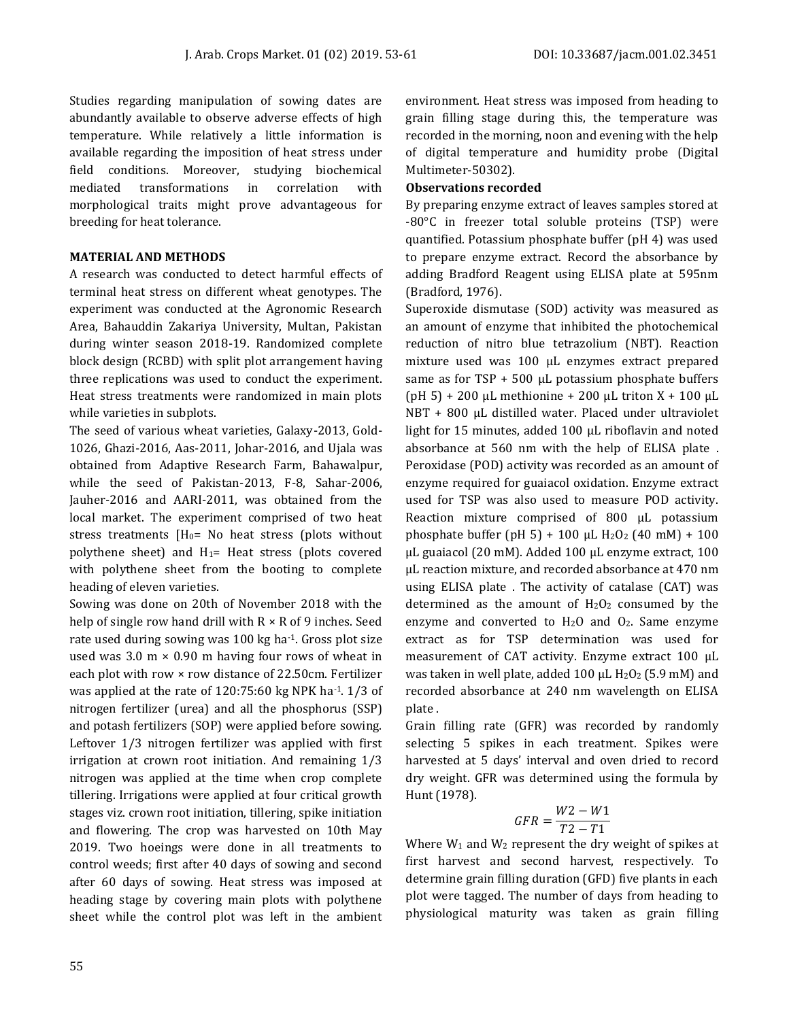Studies regarding manipulation of sowing dates are abundantly available to observe adverse effects of high temperature. While relatively a little information is available regarding the imposition of heat stress under field conditions. Moreover, studying biochemical mediated transformations in correlation with morphological traits might prove advantageous for breeding for heat tolerance.

# **MATERIAL AND METHODS**

A research was conducted to detect harmful effects of terminal heat stress on different wheat genotypes. The experiment was conducted at the Agronomic Research Area, Bahauddin Zakariya University, Multan, Pakistan during winter season 2018-19. Randomized complete block design (RCBD) with split plot arrangement having three replications was used to conduct the experiment. Heat stress treatments were randomized in main plots while varieties in subplots.

The seed of various wheat varieties, Galaxy-2013, Gold-1026, Ghazi-2016, Aas-2011, Johar-2016, and Ujala was obtained from Adaptive Research Farm, Bahawalpur, while the seed of Pakistan-2013, F-8, Sahar-2006, Jauher-2016 and AARI-2011, was obtained from the local market. The experiment comprised of two heat stress treatments  $[H<sub>0</sub>=$  No heat stress (plots without polythene sheet) and  $H_1=$  Heat stress (plots covered with polythene sheet from the booting to complete heading of eleven varieties.

Sowing was done on 20th of November 2018 with the help of single row hand drill with  $R \times R$  of 9 inches. Seed rate used during sowing was 100 kg ha-1. Gross plot size used was 3.0  $m \times 0.90$  m having four rows of wheat in each plot with row × row distance of 22.50cm. Fertilizer was applied at the rate of  $120:75:60$  kg NPK ha<sup>-1</sup>.  $1/3$  of nitrogen fertilizer (urea) and all the phosphorus (SSP) and potash fertilizers (SOP) were applied before sowing. Leftover 1/3 nitrogen fertilizer was applied with first irrigation at crown root initiation. And remaining 1/3 nitrogen was applied at the time when crop complete tillering. Irrigations were applied at four critical growth stages viz. crown root initiation, tillering, spike initiation and flowering. The crop was harvested on 10th May 2019. Two hoeings were done in all treatments to control weeds; first after 40 days of sowing and second after 60 days of sowing. Heat stress was imposed at heading stage by covering main plots with polythene sheet while the control plot was left in the ambient

environment. Heat stress was imposed from heading to grain filling stage during this, the temperature was recorded in the morning, noon and evening with the help of digital temperature and humidity probe (Digital Multimeter-50302).

# **Observations recorded**

By preparing enzyme extract of leaves samples stored at -80°C in freezer total soluble proteins (TSP) were quantified. Potassium phosphate buffer (pH 4) was used to prepare enzyme extract. Record the absorbance by adding Bradford Reagent using ELISA plate at 595nm (Bradford, 1976).

Superoxide dismutase (SOD) activity was measured as an amount of enzyme that inhibited the photochemical reduction of nitro blue tetrazolium (NBT). Reaction mixture used was 100 μL enzymes extract prepared same as for TSP + 500 μL potassium phosphate buffers (pH 5) + 200 μL methionine + 200 μL triton  $X + 100$  μL NBT + 800 μL distilled water. Placed under ultraviolet light for 15 minutes, added 100 μL riboflavin and noted absorbance at 560 nm with the help of ELISA plate . Peroxidase (POD) activity was recorded as an amount of enzyme required for guaiacol oxidation. Enzyme extract used for TSP was also used to measure POD activity. Reaction mixture comprised of 800 μL potassium phosphate buffer (pH 5) + 100 μL H<sub>2</sub>O<sub>2</sub> (40 mM) + 100 μL guaiacol (20 mM). Added 100 μL enzyme extract, 100 μL reaction mixture, and recorded absorbance at 470 nm using ELISA plate . The activity of catalase (CAT) was determined as the amount of  $H_2O_2$  consumed by the enzyme and converted to H2O and O2. Same enzyme extract as for TSP determination was used for measurement of CAT activity. Enzyme extract 100 μL was taken in well plate, added 100  $\mu$ L H<sub>2</sub>O<sub>2</sub> (5.9 mM) and recorded absorbance at 240 nm wavelength on ELISA plate .

Grain filling rate (GFR) was recorded by randomly selecting 5 spikes in each treatment. Spikes were harvested at 5 days' interval and oven dried to record dry weight. GFR was determined using the formula by Hunt (1978).

$$
GFR = \frac{W2 - W1}{T2 - T1}
$$

Where  $W_1$  and  $W_2$  represent the dry weight of spikes at first harvest and second harvest, respectively. To determine grain filling duration (GFD) five plants in each plot were tagged. The number of days from heading to physiological maturity was taken as grain filling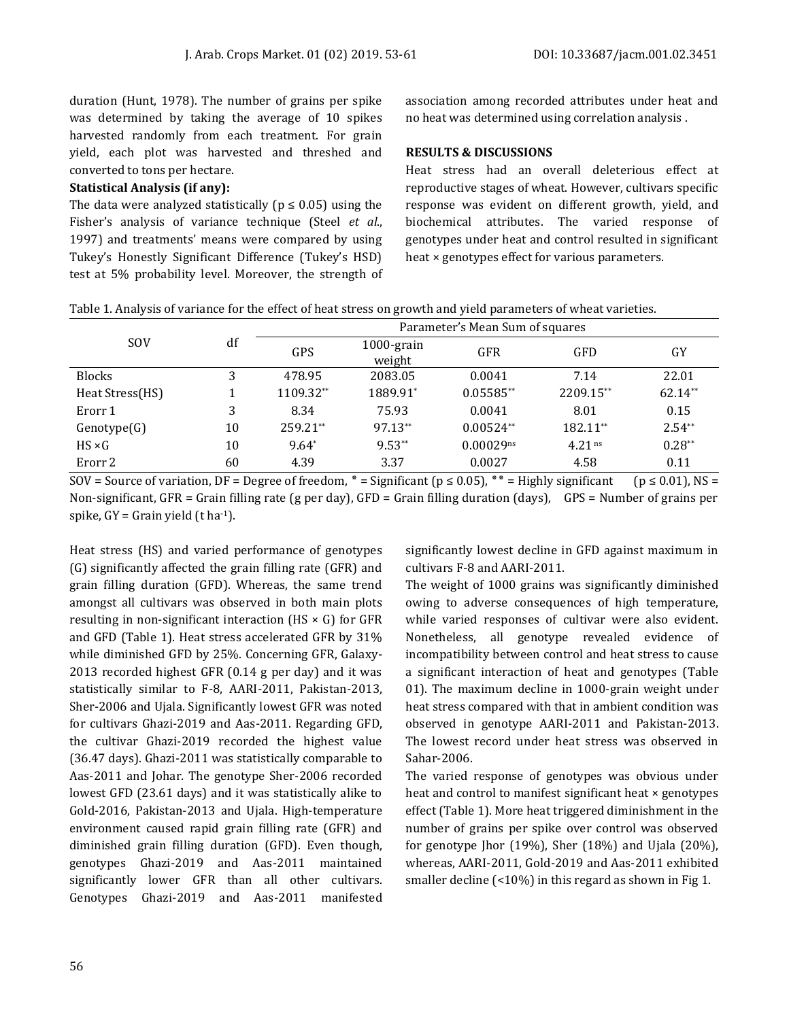duration (Hunt, 1978). The number of grains per spike was determined by taking the average of 10 spikes harvested randomly from each treatment. For grain yield, each plot was harvested and threshed and converted to tons per hectare.

#### **Statistical Analysis (if any):**

The data were analyzed statistically ( $p \leq 0.05$ ) using the Fisher's analysis of variance technique (Steel *et al*., 1997) and treatments' means were compared by using Tukey's Honestly Significant Difference (Tukey's HSD) test at 5% probability level. Moreover, the strength of association among recorded attributes under heat and no heat was determined using correlation analysis .

## **RESULTS & DISCUSSIONS**

Heat stress had an overall deleterious effect at reproductive stages of wheat. However, cultivars specific response was evident on different growth, yield, and biochemical attributes. The varied response of genotypes under heat and control resulted in significant heat × genotypes effect for various parameters.

|  |  |  | Table 1. Analysis of variance for the effect of heat stress on growth and yield parameters of wheat varieties. |
|--|--|--|----------------------------------------------------------------------------------------------------------------|
|  |  |  |                                                                                                                |

|                 |    | Parameter's Mean Sum of squares |                         |                |            |          |  |
|-----------------|----|---------------------------------|-------------------------|----------------|------------|----------|--|
| <b>SOV</b>      | df | GPS                             | $1000$ -grain<br>weight | <b>GFR</b>     | <b>GFD</b> | GY       |  |
| <b>Blocks</b>   | 3  | 478.95                          | 2083.05                 | 0.0041         | 7.14       | 22.01    |  |
| Heat Stress(HS) |    | 1109.32**                       | 1889.91*                | $0.05585**$    | 2209.15**  | 62.14**  |  |
| Erorr 1         | 3  | 8.34                            | 75.93                   | 0.0041         | 8.01       | 0.15     |  |
| Genotype(G)     | 10 | 259.21**                        | 97.13**                 | $0.00524**$    | 182.11**   | $2.54**$ |  |
| $HS \times G$   | 10 | $9.64*$                         | $9.53**$                | $0.00029^{ns}$ | $4.21$ ns  | $0.28**$ |  |
| Erorr 2         | 60 | 4.39                            | 3.37                    | 0.0027         | 4.58       | 0.11     |  |
|                 |    |                                 |                         |                |            |          |  |

SOV = Source of variation, DF = Degree of freedom,  $*$  = Significant (p ≤ 0.05),  $**$  = Highly significant (p ≤ 0.01), NS = Non-significant, GFR = Grain filling rate (g per day), GFD = Grain filling duration (days), GPS = Number of grains per spike,  $GY =$  Grain yield (t ha<sup>-1</sup>).

Heat stress (HS) and varied performance of genotypes (G) significantly affected the grain filling rate (GFR) and grain filling duration (GFD). Whereas, the same trend amongst all cultivars was observed in both main plots resulting in non-significant interaction (HS  $\times$  G) for GFR and GFD (Table 1). Heat stress accelerated GFR by 31% while diminished GFD by 25%. Concerning GFR, Galaxy-2013 recorded highest GFR (0.14 g per day) and it was statistically similar to F-8, AARI-2011, Pakistan-2013, Sher-2006 and Ujala. Significantly lowest GFR was noted for cultivars Ghazi-2019 and Aas-2011. Regarding GFD, the cultivar Ghazi-2019 recorded the highest value (36.47 days). Ghazi-2011 was statistically comparable to Aas-2011 and Johar. The genotype Sher-2006 recorded lowest GFD (23.61 days) and it was statistically alike to Gold-2016, Pakistan-2013 and Ujala. High-temperature environment caused rapid grain filling rate (GFR) and diminished grain filling duration (GFD). Even though, genotypes Ghazi-2019 and Aas-2011 maintained significantly lower GFR than all other cultivars. Genotypes Ghazi-2019 and Aas-2011 manifested

significantly lowest decline in GFD against maximum in cultivars F-8 and AARI-2011.

The weight of 1000 grains was significantly diminished owing to adverse consequences of high temperature, while varied responses of cultivar were also evident. Nonetheless, all genotype revealed evidence of incompatibility between control and heat stress to cause a significant interaction of heat and genotypes (Table 01). The maximum decline in 1000-grain weight under heat stress compared with that in ambient condition was observed in genotype AARI-2011 and Pakistan-2013. The lowest record under heat stress was observed in Sahar-2006.

The varied response of genotypes was obvious under heat and control to manifest significant heat × genotypes effect (Table 1). More heat triggered diminishment in the number of grains per spike over control was observed for genotype Jhor (19%), Sher (18%) and Ujala (20%), whereas, AARI-2011, Gold-2019 and Aas-2011 exhibited smaller decline (<10%) in this regard as shown in Fig 1.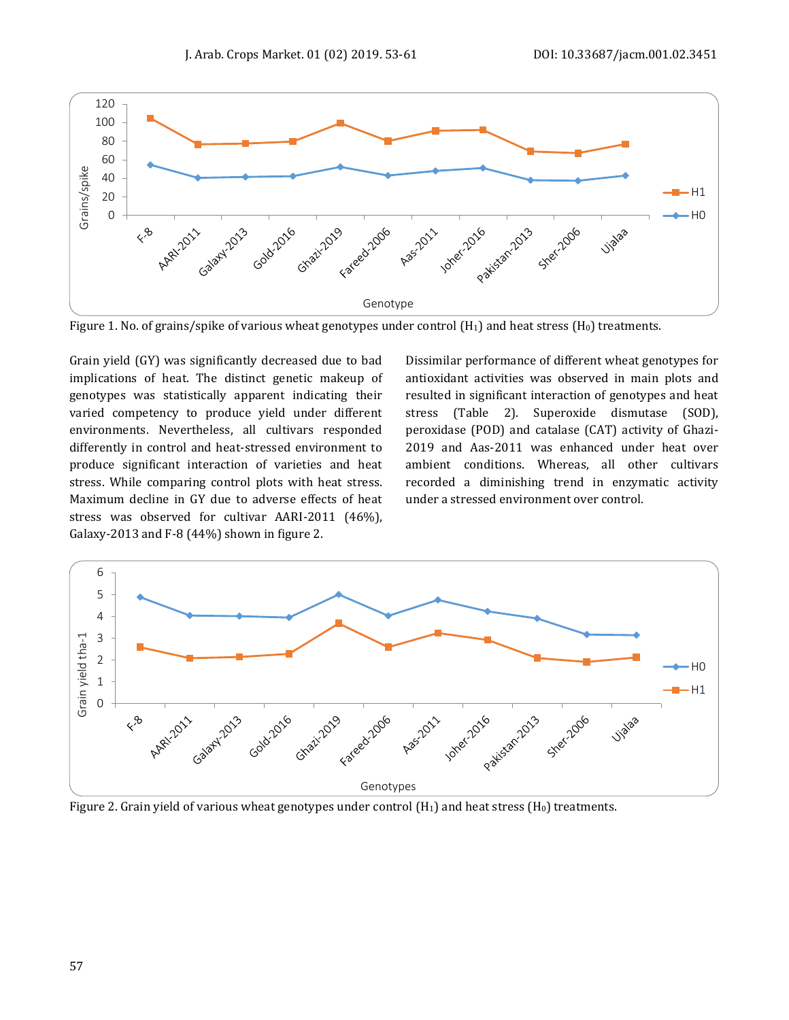

Figure 1. No. of grains/spike of various wheat genotypes under control  $(H_1)$  and heat stress  $(H_0)$  treatments.

Grain yield (GY) was significantly decreased due to bad implications of heat. The distinct genetic makeup of genotypes was statistically apparent indicating their varied competency to produce yield under different environments. Nevertheless, all cultivars responded differently in control and heat-stressed environment to produce significant interaction of varieties and heat stress. While comparing control plots with heat stress. Maximum decline in GY due to adverse effects of heat stress was observed for cultivar AARI-2011 (46%), Galaxy-2013 and F-8 (44%) shown in figure 2.

Dissimilar performance of different wheat genotypes for antioxidant activities was observed in main plots and resulted in significant interaction of genotypes and heat stress (Table 2). Superoxide dismutase (SOD), peroxidase (POD) and catalase (CAT) activity of Ghazi-2019 and Aas-2011 was enhanced under heat over ambient conditions. Whereas, all other cultivars recorded a diminishing trend in enzymatic activity under a stressed environment over control.



Figure 2. Grain yield of various wheat genotypes under control  $(H_1)$  and heat stress  $(H_0)$  treatments.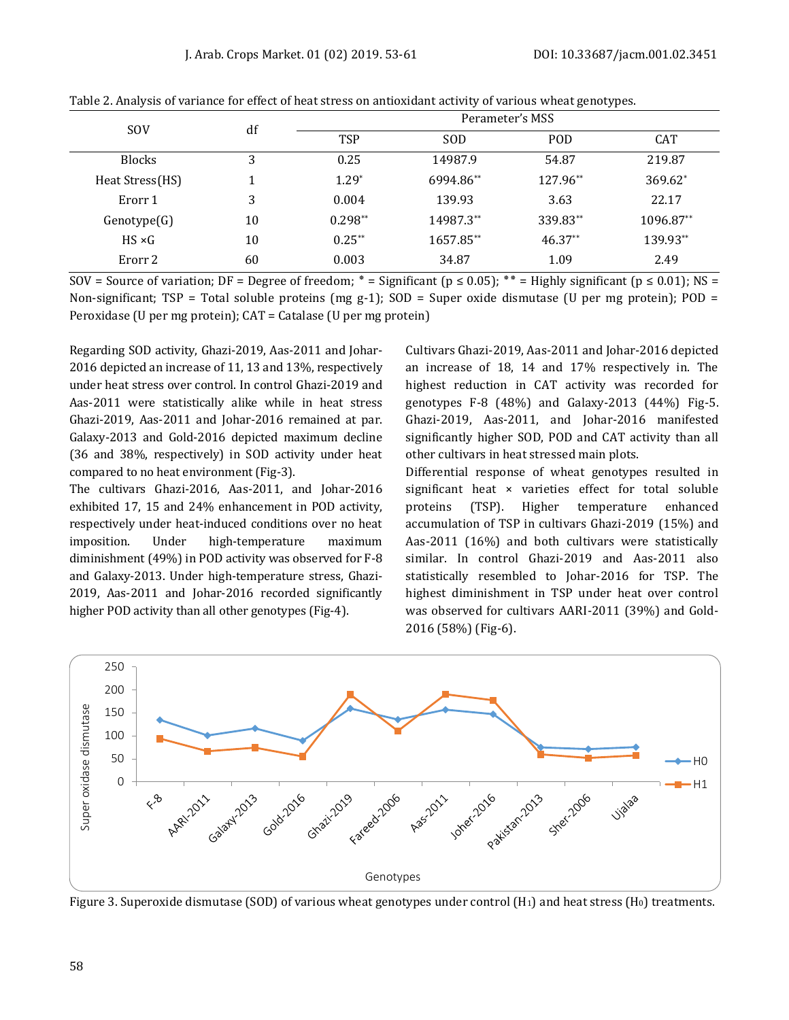| <b>SOV</b>      | df | Perameter's MSS |            |            |            |  |  |
|-----------------|----|-----------------|------------|------------|------------|--|--|
|                 |    | <b>TSP</b>      | <b>SOD</b> | <b>POD</b> | <b>CAT</b> |  |  |
| <b>Blocks</b>   | 3  | 0.25            | 14987.9    | 54.87      | 219.87     |  |  |
| Heat Stress(HS) |    | $1.29*$         | 6994.86**  | 127.96**   | 369.62*    |  |  |
| Erorr 1         | 3  | 0.004           | 139.93     | 3.63       | 22.17      |  |  |
| Genotype(G)     | 10 | $0.298**$       | 14987.3**  | 339.83**   | 1096.87**  |  |  |
| $HS \times G$   | 10 | $0.25**$        | 1657.85**  | $46.37**$  | 139.93**   |  |  |
| Erorr 2         | 60 | 0.003           | 34.87      | 1.09       | 2.49       |  |  |

Table 2. Analysis of variance for effect of heat stress on antioxidant activity of various wheat genotypes.

SOV = Source of variation; DF = Degree of freedom;  $* =$  Significant ( $p \le 0.05$ );  $** =$  Highly significant ( $p \le 0.01$ ); NS = Non-significant; TSP = Total soluble proteins (mg g-1); SOD = Super oxide dismutase (U per mg protein); POD = Peroxidase (U per mg protein); CAT = Catalase (U per mg protein)

Regarding SOD activity, Ghazi-2019, Aas-2011 and Johar-2016 depicted an increase of 11, 13 and 13%, respectively under heat stress over control. In control Ghazi-2019 and Aas-2011 were statistically alike while in heat stress Ghazi-2019, Aas-2011 and Johar-2016 remained at par. Galaxy-2013 and Gold-2016 depicted maximum decline (36 and 38%, respectively) in SOD activity under heat compared to no heat environment (Fig-3).

The cultivars Ghazi-2016, Aas-2011, and Johar-2016 exhibited 17, 15 and 24% enhancement in POD activity, respectively under heat-induced conditions over no heat imposition. Under high-temperature maximum diminishment (49%) in POD activity was observed for F-8 and Galaxy-2013. Under high-temperature stress, Ghazi-2019, Aas-2011 and Johar-2016 recorded significantly higher POD activity than all other genotypes (Fig-4).

Cultivars Ghazi-2019, Aas-2011 and Johar-2016 depicted an increase of 18, 14 and 17% respectively in. The highest reduction in CAT activity was recorded for genotypes F-8 (48%) and Galaxy-2013 (44%) Fig-5. Ghazi-2019, Aas-2011, and Johar-2016 manifested significantly higher SOD, POD and CAT activity than all other cultivars in heat stressed main plots.

Differential response of wheat genotypes resulted in significant heat × varieties effect for total soluble proteins (TSP). Higher temperature enhanced accumulation of TSP in cultivars Ghazi-2019 (15%) and Aas-2011 (16%) and both cultivars were statistically similar. In control Ghazi-2019 and Aas-2011 also statistically resembled to Johar-2016 for TSP. The highest diminishment in TSP under heat over control was observed for cultivars AARI-2011 (39%) and Gold-2016 (58%) (Fig-6).



Figure 3. Superoxide dismutase (SOD) of various wheat genotypes under control  $(H_1)$  and heat stress  $(H_0)$  treatments.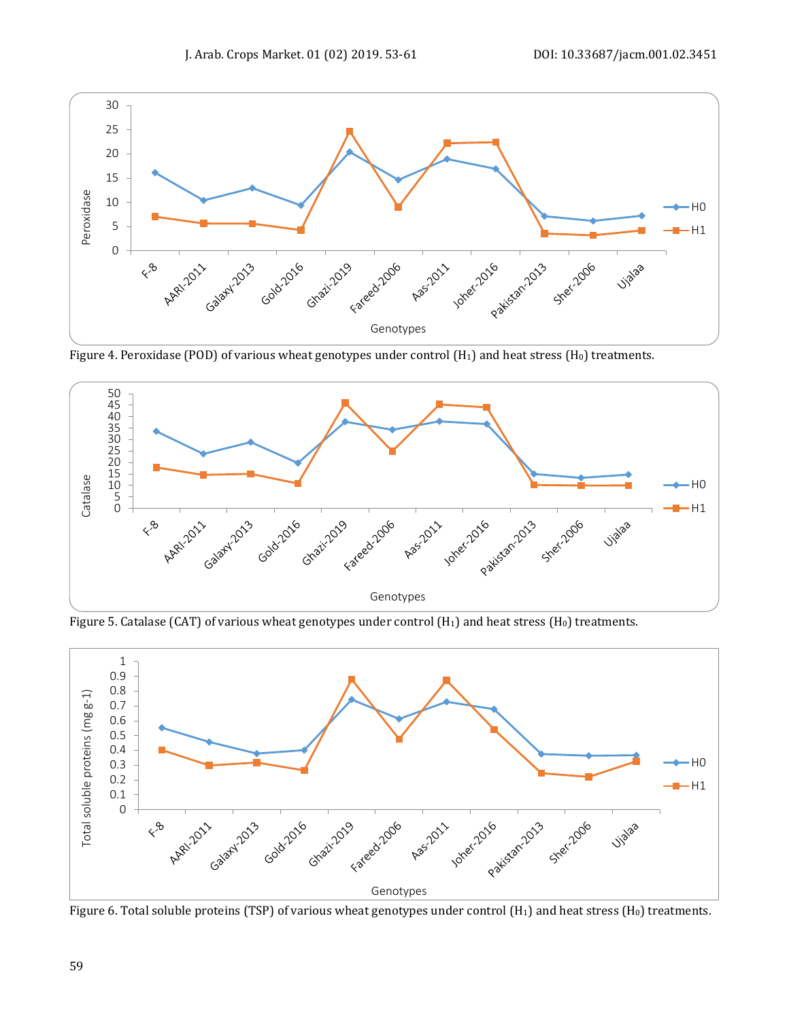

Figure 4. Peroxidase (POD) of various wheat genotypes under control ( $H_1$ ) and heat stress ( $H_0$ ) treatments.



Figure 5. Catalase (CAT) of various wheat genotypes under control  $(H_1)$  and heat stress  $(H_0)$  treatments.



Figure 6. Total soluble proteins (TSP) of various wheat genotypes under control (H<sub>1</sub>) and heat stress (H<sub>0</sub>) treatments.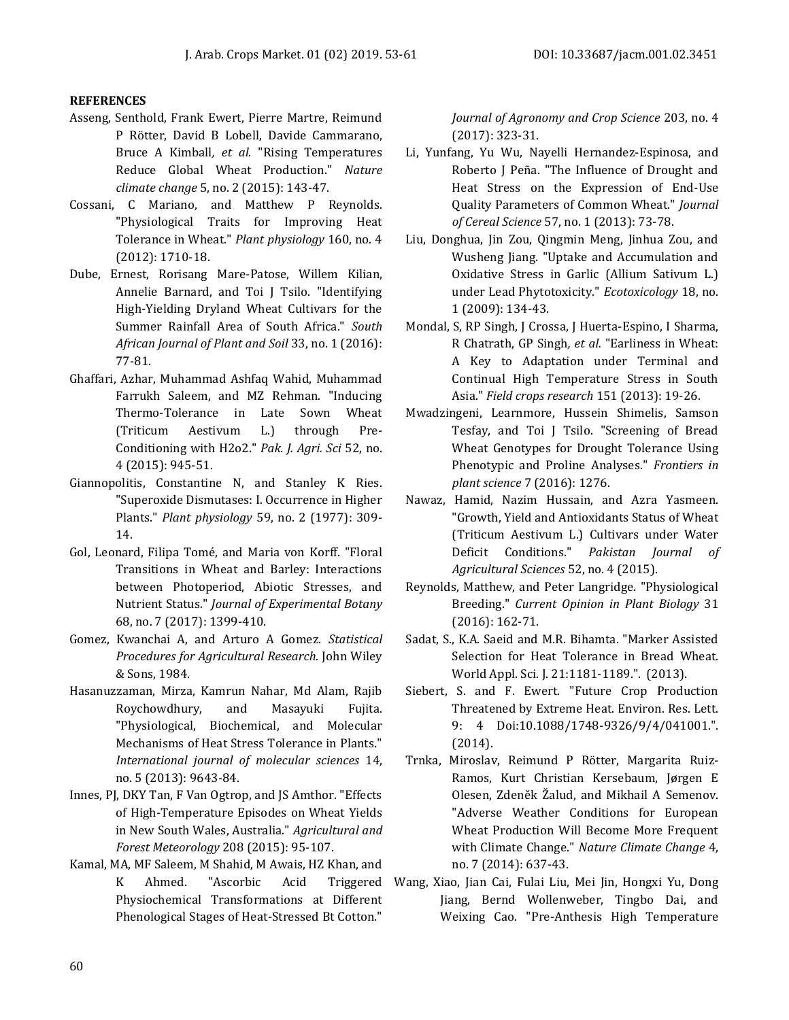## **REFERENCES**

- Asseng, Senthold, Frank Ewert, Pierre Martre, Reimund P Rötter, David B Lobell, Davide Cammarano, Bruce A Kimball*, et al.* "Rising Temperatures Reduce Global Wheat Production." *Nature climate change* 5, no. 2 (2015): 143-47.
- Cossani, C Mariano, and Matthew P Reynolds. "Physiological Traits for Improving Heat Tolerance in Wheat." *Plant physiology* 160, no. 4 (2012): 1710-18.
- Dube, Ernest, Rorisang Mare-Patose, Willem Kilian, Annelie Barnard, and Toi J Tsilo. "Identifying High-Yielding Dryland Wheat Cultivars for the Summer Rainfall Area of South Africa." *South African Journal of Plant and Soil* 33, no. 1 (2016): 77-81.
- Ghaffari, Azhar, Muhammad Ashfaq Wahid, Muhammad Farrukh Saleem, and MZ Rehman. "Inducing Thermo-Tolerance in Late Sown Wheat (Triticum Aestivum L.) through Pre-Conditioning with H2o2." *Pak. J. Agri. Sci* 52, no. 4 (2015): 945-51.
- Giannopolitis, Constantine N, and Stanley K Ries. "Superoxide Dismutases: I. Occurrence in Higher Plants." *Plant physiology* 59, no. 2 (1977): 309- 14.
- Gol, Leonard, Filipa Tomé, and Maria von Korff. "Floral Transitions in Wheat and Barley: Interactions between Photoperiod, Abiotic Stresses, and Nutrient Status." *Journal of Experimental Botany*  68, no. 7 (2017): 1399-410.
- Gomez, Kwanchai A, and Arturo A Gomez. *Statistical Procedures for Agricultural Research.* John Wiley & Sons, 1984.
- Hasanuzzaman, Mirza, Kamrun Nahar, Md Alam, Rajib Roychowdhury, and Masayuki Fujita. "Physiological, Biochemical, and Molecular Mechanisms of Heat Stress Tolerance in Plants." *International journal of molecular sciences* 14, no. 5 (2013): 9643-84.
- Innes, PJ, DKY Tan, F Van Ogtrop, and JS Amthor. "Effects of High-Temperature Episodes on Wheat Yields in New South Wales, Australia." *Agricultural and Forest Meteorology* 208 (2015): 95-107.
- Kamal, MA, MF Saleem, M Shahid, M Awais, HZ Khan, and Physiochemical Transformations at Different Phenological Stages of Heat‐Stressed Bt Cotton."

*Journal of Agronomy and Crop Science* 203, no. 4 (2017): 323-31.

- Li, Yunfang, Yu Wu, Nayelli Hernandez-Espinosa, and Roberto J Peña. "The Influence of Drought and Heat Stress on the Expression of End-Use Quality Parameters of Common Wheat." *Journal of Cereal Science* 57, no. 1 (2013): 73-78.
- Liu, Donghua, Jin Zou, Qingmin Meng, Jinhua Zou, and Wusheng Jiang. "Uptake and Accumulation and Oxidative Stress in Garlic (Allium Sativum L.) under Lead Phytotoxicity." *Ecotoxicology* 18, no. 1 (2009): 134-43.
- Mondal, S, RP Singh, J Crossa, J Huerta-Espino, I Sharma, R Chatrath, GP Singh*, et al.* "Earliness in Wheat: A Key to Adaptation under Terminal and Continual High Temperature Stress in South Asia." *Field crops research* 151 (2013): 19-26.
- Mwadzingeni, Learnmore, Hussein Shimelis, Samson Tesfay, and Toi J Tsilo. "Screening of Bread Wheat Genotypes for Drought Tolerance Using Phenotypic and Proline Analyses." *Frontiers in plant science* 7 (2016): 1276.
- Nawaz, Hamid, Nazim Hussain, and Azra Yasmeen. "Growth, Yield and Antioxidants Status of Wheat (Triticum Aestivum L.) Cultivars under Water Deficit Conditions." *Pakistan Journal of Agricultural Sciences* 52, no. 4 (2015).
- Reynolds, Matthew, and Peter Langridge. "Physiological Breeding." *Current Opinion in Plant Biology* 31 (2016): 162-71.
- Sadat, S., K.A. Saeid and M.R. Bihamta. "Marker Assisted Selection for Heat Tolerance in Bread Wheat. World Appl. Sci. J. 21:1181-1189.". (2013).
- Siebert, S. and F. Ewert. "Future Crop Production Threatened by Extreme Heat. Environ. Res. Lett. 9: 4 Doi:10.1088/1748-9326/9/4/041001.". (2014).
- Trnka, Miroslav, Reimund P Rötter, Margarita Ruiz-Ramos, Kurt Christian Kersebaum, Jørgen E Olesen, Zdeněk Žalud, and Mikhail A Semenov. "Adverse Weather Conditions for European Wheat Production Will Become More Frequent with Climate Change." *Nature Climate Change* 4, no. 7 (2014): 637-43.
- K Ahmed. "Ascorbic Acid Triggered Wang, Xiao, Jian Cai, Fulai Liu, Mei Jin, Hongxi Yu, Dong Jiang, Bernd Wollenweber, Tingbo Dai, and Weixing Cao. "Pre-Anthesis High Temperature